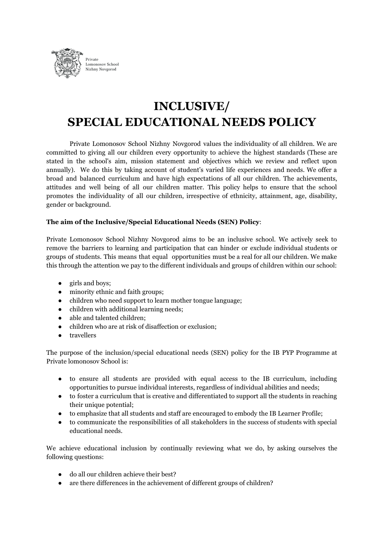

# **INCLUSIVE/ SPECIAL EDUCATIONAL NEEDS POLICY**

Private Lomonosov School Nizhny Novgorod values the individuality of all children. We are committed to giving all our children every opportunity to achieve the highest standards (These are stated in the school's aim, mission statement and objectives which we review and reflect upon annually). We do this by taking account of student's varied life experiences and needs. We offer a broad and balanced curriculum and have high expectations of all our children. The achievements, attitudes and well being of all our children matter. This policy helps to ensure that the school promotes the individuality of all our children, irrespective of ethnicity, attainment, age, disability, gender or background.

## **The aim of the Inclusive/Special Educational Needs (SEN) Policy**:

Private Lomonosov School Nizhny Novgorod aims to be an inclusive school. We actively seek to remove the barriers to learning and participation that can hinder or exclude individual students or groups of students. This means that equal opportunities must be a real for all our children. We make this through the attention we pay to the different individuals and groups of children within our school:

- girls and boys;
- minority ethnic and faith groups;
- children who need support to learn mother tongue language;
- children with additional learning needs;
- able and talented children;
- children who are at risk of disaffection or exclusion;
- travellers

The purpose of the inclusion/special educational needs (SEN) policy for the IB PYP Programme at Private lomonosov School is:

- to ensure all students are provided with equal access to the IB curriculum, including opportunities to pursue individual interests, regardless of individual abilities and needs;
- to foster a curriculum that is creative and differentiated to support all the students in reaching their unique potential;
- to emphasize that all students and staff are encouraged to embody the IB Learner Profile;
- to communicate the responsibilities of all stakeholders in the success of students with special educational needs.

We achieve educational inclusion by continually reviewing what we do, by asking ourselves the following questions:

- do all our children achieve their best?
- are there differences in the achievement of different groups of children?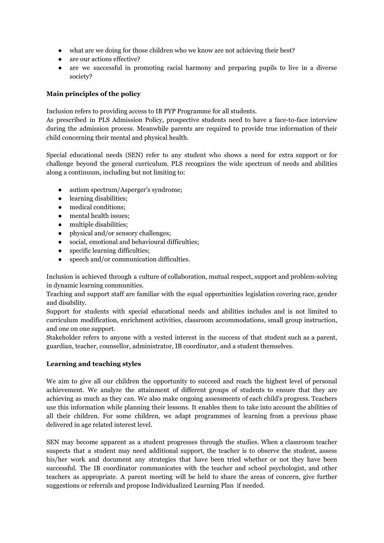- what are we doing for those children who we know are not achieving their best?
- are our actions effective?
- are we successful in promoting racial harmony and preparing pupils to live in a diverse society?

## **Main principles of the policy**

Inclusion refers to providing access to IB PYP Programme for all students.

As prescribed in PLS Admission Policy, prospective students need to have a face-to-face interview during the admission process. Meanwhile parents are required to provide true information of their child concerning their mental and physical health.

Special educational needs (SEN) refer to any student who shows a need for extra support or for challenge beyond the general curriculum. PLS recognizes the wide spectrum of needs and abilities along a continuum, including but not limiting to:

- autism spectrum/Asperger's syndrome;
- learning disabilities;
- medical conditions;
- mental health issues;
- multiple disabilities;
- physical and/or sensory challenges;
- social, emotional and behavioural difficulties;
- specific learning difficulties;
- speech and/or communication difficulties.

Inclusion is achieved through a culture of collaboration, mutual respect, support and problem-solving in dynamic learning communities.

Teaching and support staff are familiar with the equal opportunities legislation covering race, gender and disability.

Support for students with special educational needs and abilities includes and is not limited to curriculum modification, enrichment activities, classroom accommodations, small group instruction, and one on one support.

Stakeholder refers to anyone with a vested interest in the success of that student such as a parent, guardian, teacher, counsellor, administrator, IB coordinator, and a student themselves.

#### **Learning and teaching styles**

We aim to give all our children the opportunity to succeed and reach the highest level of personal achievement. We analyze the attainment of different groups of students to ensure that they are achieving as much as they can. We also make ongoing assessments of each child's progress. Teachers use this information while planning their lessons. It enables them to take into account the abilities of all their children. For some children, we adapt programmes of learning from a previous phase delivered in age related interest level.

SEN may become apparent as a student progresses through the studies. When a classroom teacher suspects that a student may need additional support, the teacher is to observe the student, assess his/her work and document any strategies that have been tried whether or not they have been successful. The IB coordinator communicates with the teacher and school psychologist, and other teachers as appropriate. A parent meeting will be held to share the areas of concern, give further suggestions or referrals and propose Individualized Learning Plan if needed.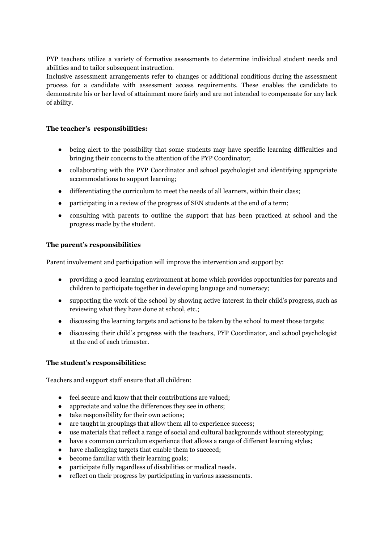PYP teachers utilize a variety of formative assessments to determine individual student needs and abilities and to tailor subsequent instruction.

Inclusive assessment arrangements refer to changes or additional conditions during the assessment process for a candidate with assessment access requirements. These enables the candidate to demonstrate his or her level of attainment more fairly and are not intended to compensate for any lack of ability.

## **The teacher's responsibilities:**

- being alert to the possibility that some students may have specific learning difficulties and bringing their concerns to the attention of the PYP Coordinator;
- collaborating with the PYP Coordinator and school psychologist and identifying appropriate accommodations to support learning;
- differentiating the curriculum to meet the needs of all learners, within their class;
- participating in a review of the progress of SEN students at the end of a term;
- consulting with parents to outline the support that has been practiced at school and the progress made by the student.

## **The parent's responsibilities**

Parent involvement and participation will improve the intervention and support by:

- providing a good learning environment at home which provides opportunities for parents and children to participate together in developing language and numeracy;
- supporting the work of the school by showing active interest in their child's progress, such as reviewing what they have done at school, etc.;
- discussing the learning targets and actions to be taken by the school to meet those targets;
- discussing their child's progress with the teachers, PYP Coordinator, and school psychologist at the end of each trimester.

#### **The student's responsibilities:**

Teachers and support staff ensure that all children:

- feel secure and know that their contributions are valued;
- appreciate and value the differences they see in others;
- take responsibility for their own actions;
- are taught in groupings that allow them all to experience success;
- use materials that reflect a range of social and cultural backgrounds without stereotyping;
- have a common curriculum experience that allows a range of different learning styles;
- have challenging targets that enable them to succeed;
- become familiar with their learning goals;
- participate fully regardless of disabilities or medical needs.
- reflect on their progress by participating in various assessments.